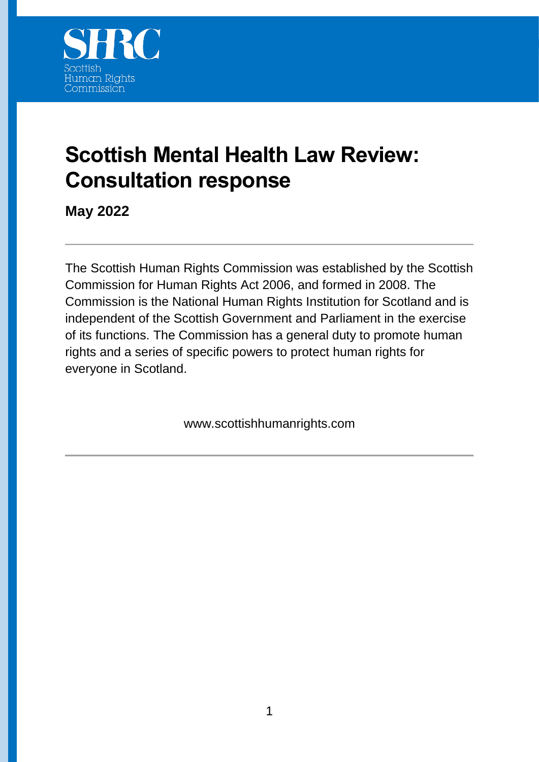

# **Scottish Mental Health Law Review: Consultation response**

**May 2022**

The Scottish Human Rights Commission was established by the Scottish Commission for Human Rights Act 2006, and formed in 2008. The Commission is the National Human Rights Institution for Scotland and is independent of the Scottish Government and Parliament in the exercise of its functions. The Commission has a general duty to promote human rights and a series of specific powers to protect human rights for everyone in Scotland.

www.scottishhumanrights.com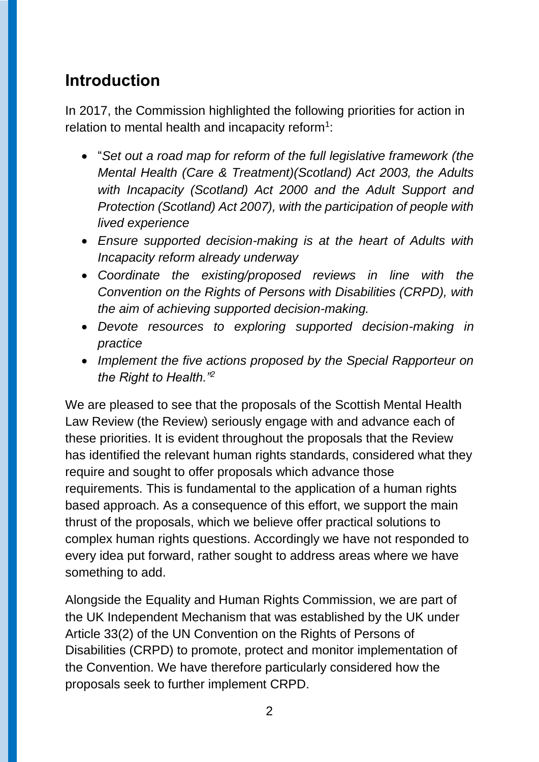## **Introduction**

In 2017, the Commission highlighted the following priorities for action in relation to mental health and incapacity reform $1$ :

- "*Set out a road map for reform of the full legislative framework (the Mental Health (Care & Treatment)(Scotland) Act 2003, the Adults with Incapacity (Scotland) Act 2000 and the Adult Support and Protection (Scotland) Act 2007), with the participation of people with lived experience*
- *Ensure supported decision-making is at the heart of Adults with Incapacity reform already underway*
- *Coordinate the existing/proposed reviews in line with the Convention on the Rights of Persons with Disabilities (CRPD), with the aim of achieving supported decision-making.*
- *Devote resources to exploring supported decision-making in practice*
- *Implement the five actions proposed by the Special Rapporteur on the Right to Health."<sup>2</sup>*

We are pleased to see that the proposals of the Scottish Mental Health Law Review (the Review) seriously engage with and advance each of these priorities. It is evident throughout the proposals that the Review has identified the relevant human rights standards, considered what they require and sought to offer proposals which advance those requirements. This is fundamental to the application of a human rights based approach. As a consequence of this effort, we support the main thrust of the proposals, which we believe offer practical solutions to complex human rights questions. Accordingly we have not responded to every idea put forward, rather sought to address areas where we have something to add.

Alongside the Equality and Human Rights Commission, we are part of the UK Independent Mechanism that was established by the UK under Article 33(2) of the UN Convention on the Rights of Persons of Disabilities (CRPD) to promote, protect and monitor implementation of the Convention. We have therefore particularly considered how the proposals seek to further implement CRPD.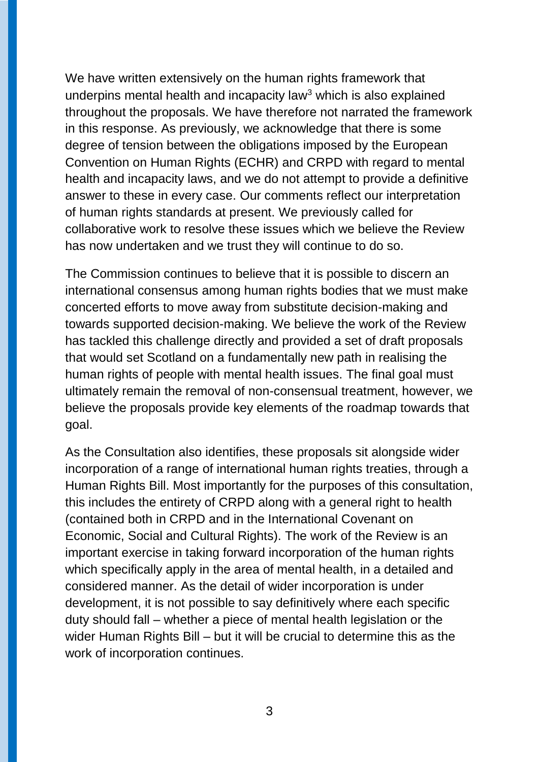We have written extensively on the human rights framework that underpins mental health and incapacity law<sup>3</sup> which is also explained throughout the proposals. We have therefore not narrated the framework in this response. As previously, we acknowledge that there is some degree of tension between the obligations imposed by the European Convention on Human Rights (ECHR) and CRPD with regard to mental health and incapacity laws, and we do not attempt to provide a definitive answer to these in every case. Our comments reflect our interpretation of human rights standards at present. We previously called for collaborative work to resolve these issues which we believe the Review has now undertaken and we trust they will continue to do so.

The Commission continues to believe that it is possible to discern an international consensus among human rights bodies that we must make concerted efforts to move away from substitute decision-making and towards supported decision-making. We believe the work of the Review has tackled this challenge directly and provided a set of draft proposals that would set Scotland on a fundamentally new path in realising the human rights of people with mental health issues. The final goal must ultimately remain the removal of non-consensual treatment, however, we believe the proposals provide key elements of the roadmap towards that goal.

As the Consultation also identifies, these proposals sit alongside wider incorporation of a range of international human rights treaties, through a Human Rights Bill. Most importantly for the purposes of this consultation, this includes the entirety of CRPD along with a general right to health (contained both in CRPD and in the International Covenant on Economic, Social and Cultural Rights). The work of the Review is an important exercise in taking forward incorporation of the human rights which specifically apply in the area of mental health, in a detailed and considered manner. As the detail of wider incorporation is under development, it is not possible to say definitively where each specific duty should fall – whether a piece of mental health legislation or the wider Human Rights Bill – but it will be crucial to determine this as the work of incorporation continues.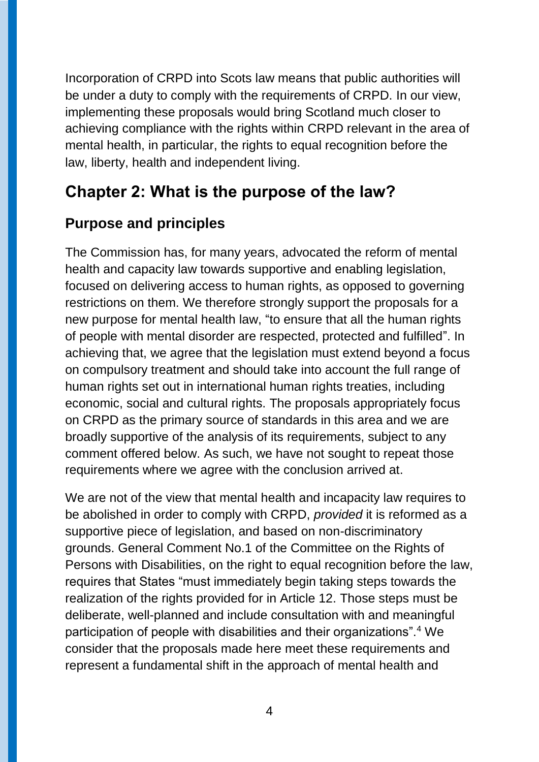Incorporation of CRPD into Scots law means that public authorities will be under a duty to comply with the requirements of CRPD. In our view, implementing these proposals would bring Scotland much closer to achieving compliance with the rights within CRPD relevant in the area of mental health, in particular, the rights to equal recognition before the law, liberty, health and independent living.

### **Chapter 2: What is the purpose of the law?**

### **Purpose and principles**

The Commission has, for many years, advocated the reform of mental health and capacity law towards supportive and enabling legislation, focused on delivering access to human rights, as opposed to governing restrictions on them. We therefore strongly support the proposals for a new purpose for mental health law, "to ensure that all the human rights of people with mental disorder are respected, protected and fulfilled". In achieving that, we agree that the legislation must extend beyond a focus on compulsory treatment and should take into account the full range of human rights set out in international human rights treaties, including economic, social and cultural rights. The proposals appropriately focus on CRPD as the primary source of standards in this area and we are broadly supportive of the analysis of its requirements, subject to any comment offered below. As such, we have not sought to repeat those requirements where we agree with the conclusion arrived at.

We are not of the view that mental health and incapacity law requires to be abolished in order to comply with CRPD, *provided* it is reformed as a supportive piece of legislation, and based on non-discriminatory grounds. General Comment No.1 of the Committee on the Rights of Persons with Disabilities, on the right to equal recognition before the law, requires that States "must immediately begin taking steps towards the realization of the rights provided for in Article 12. Those steps must be deliberate, well-planned and include consultation with and meaningful participation of people with disabilities and their organizations".<sup>4</sup> We consider that the proposals made here meet these requirements and represent a fundamental shift in the approach of mental health and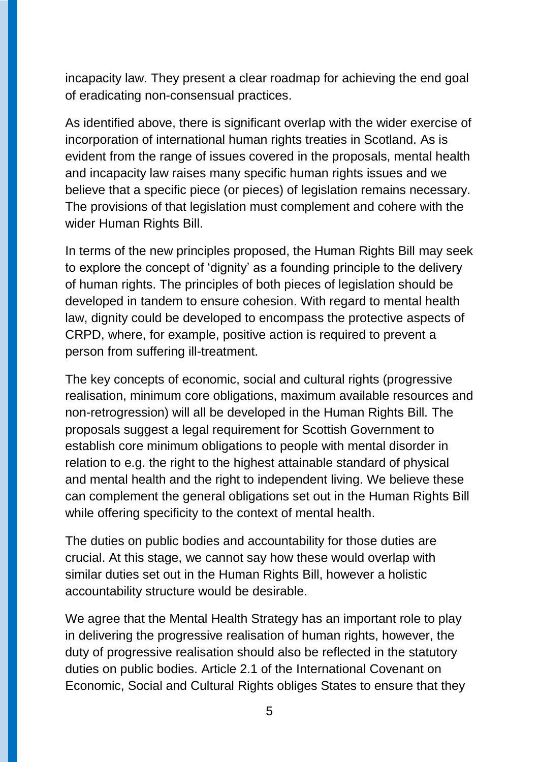incapacity law. They present a clear roadmap for achieving the end goal of eradicating non-consensual practices.

As identified above, there is significant overlap with the wider exercise of incorporation of international human rights treaties in Scotland. As is evident from the range of issues covered in the proposals, mental health and incapacity law raises many specific human rights issues and we believe that a specific piece (or pieces) of legislation remains necessary. The provisions of that legislation must complement and cohere with the wider Human Rights Bill.

In terms of the new principles proposed, the Human Rights Bill may seek to explore the concept of 'dignity' as a founding principle to the delivery of human rights. The principles of both pieces of legislation should be developed in tandem to ensure cohesion. With regard to mental health law, dignity could be developed to encompass the protective aspects of CRPD, where, for example, positive action is required to prevent a person from suffering ill-treatment.

The key concepts of economic, social and cultural rights (progressive realisation, minimum core obligations, maximum available resources and non-retrogression) will all be developed in the Human Rights Bill. The proposals suggest a legal requirement for Scottish Government to establish core minimum obligations to people with mental disorder in relation to e.g. the right to the highest attainable standard of physical and mental health and the right to independent living. We believe these can complement the general obligations set out in the Human Rights Bill while offering specificity to the context of mental health.

The duties on public bodies and accountability for those duties are crucial. At this stage, we cannot say how these would overlap with similar duties set out in the Human Rights Bill, however a holistic accountability structure would be desirable.

We agree that the Mental Health Strategy has an important role to play in delivering the progressive realisation of human rights, however, the duty of progressive realisation should also be reflected in the statutory duties on public bodies. Article 2.1 of the International Covenant on Economic, Social and Cultural Rights obliges States to ensure that they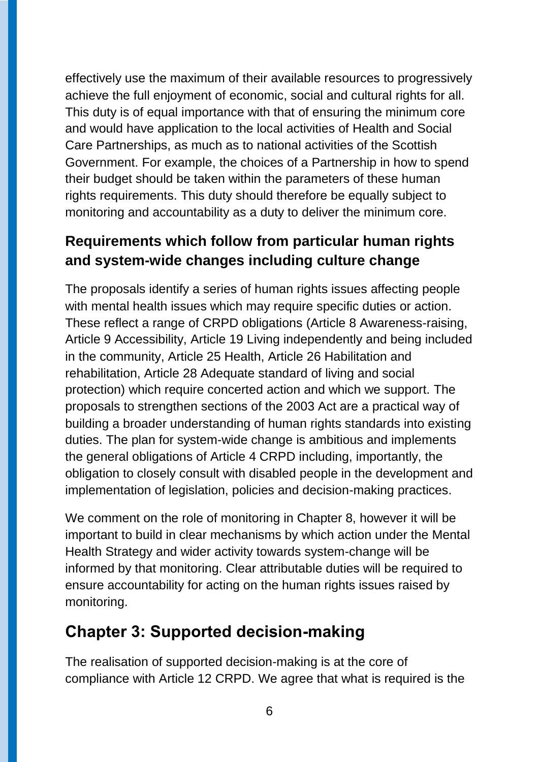effectively use the maximum of their available resources to progressively achieve the full enjoyment of economic, social and cultural rights for all. This duty is of equal importance with that of ensuring the minimum core and would have application to the local activities of Health and Social Care Partnerships, as much as to national activities of the Scottish Government. For example, the choices of a Partnership in how to spend their budget should be taken within the parameters of these human rights requirements. This duty should therefore be equally subject to monitoring and accountability as a duty to deliver the minimum core.

### **Requirements which follow from particular human rights and system-wide changes including culture change**

The proposals identify a series of human rights issues affecting people with mental health issues which may require specific duties or action. These reflect a range of CRPD obligations (Article 8 Awareness-raising, Article 9 Accessibility, Article 19 Living independently and being included in the community, Article 25 Health, Article 26 Habilitation and rehabilitation, Article 28 Adequate standard of living and social protection) which require concerted action and which we support. The proposals to strengthen sections of the 2003 Act are a practical way of building a broader understanding of human rights standards into existing duties. The plan for system-wide change is ambitious and implements the general obligations of Article 4 CRPD including, importantly, the obligation to closely consult with disabled people in the development and implementation of legislation, policies and decision-making practices.

We comment on the role of monitoring in Chapter 8, however it will be important to build in clear mechanisms by which action under the Mental Health Strategy and wider activity towards system-change will be informed by that monitoring. Clear attributable duties will be required to ensure accountability for acting on the human rights issues raised by monitoring.

## **Chapter 3: Supported decision-making**

The realisation of supported decision-making is at the core of compliance with Article 12 CRPD. We agree that what is required is the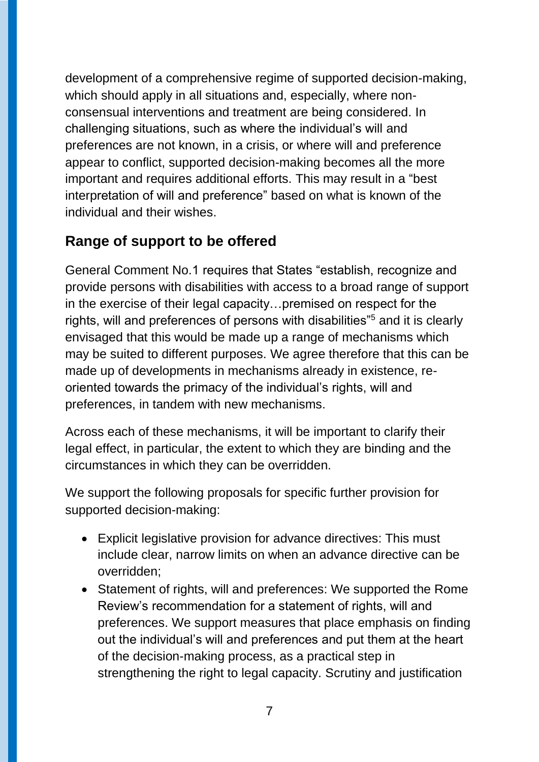development of a comprehensive regime of supported decision-making, which should apply in all situations and, especially, where nonconsensual interventions and treatment are being considered. In challenging situations, such as where the individual's will and preferences are not known, in a crisis, or where will and preference appear to conflict, supported decision-making becomes all the more important and requires additional efforts. This may result in a "best interpretation of will and preference" based on what is known of the individual and their wishes.

#### **Range of support to be offered**

General Comment No.1 requires that States "establish, recognize and provide persons with disabilities with access to a broad range of support in the exercise of their legal capacity…premised on respect for the rights, will and preferences of persons with disabilities"<sup>5</sup> and it is clearly envisaged that this would be made up a range of mechanisms which may be suited to different purposes. We agree therefore that this can be made up of developments in mechanisms already in existence, reoriented towards the primacy of the individual's rights, will and preferences, in tandem with new mechanisms.

Across each of these mechanisms, it will be important to clarify their legal effect, in particular, the extent to which they are binding and the circumstances in which they can be overridden.

We support the following proposals for specific further provision for supported decision-making:

- Explicit legislative provision for advance directives: This must include clear, narrow limits on when an advance directive can be overridden;
- Statement of rights, will and preferences: We supported the Rome Review's recommendation for a statement of rights, will and preferences. We support measures that place emphasis on finding out the individual's will and preferences and put them at the heart of the decision-making process, as a practical step in strengthening the right to legal capacity. Scrutiny and justification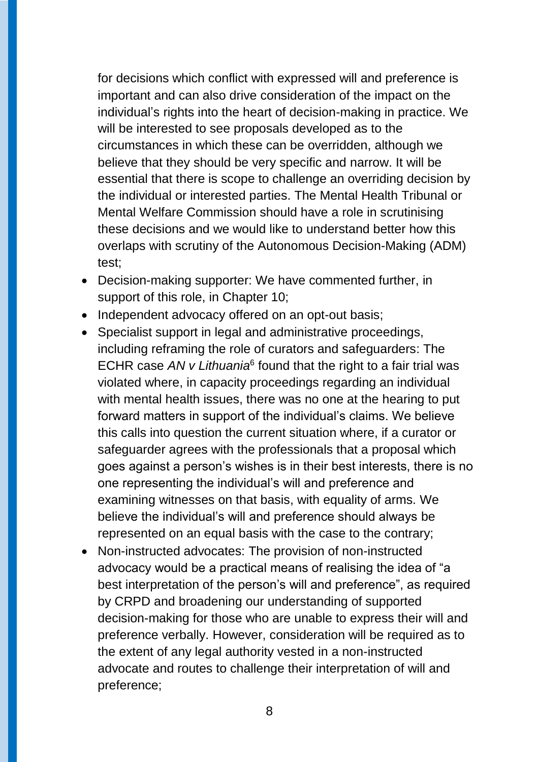for decisions which conflict with expressed will and preference is important and can also drive consideration of the impact on the individual's rights into the heart of decision-making in practice. We will be interested to see proposals developed as to the circumstances in which these can be overridden, although we believe that they should be very specific and narrow. It will be essential that there is scope to challenge an overriding decision by the individual or interested parties. The Mental Health Tribunal or Mental Welfare Commission should have a role in scrutinising these decisions and we would like to understand better how this overlaps with scrutiny of the Autonomous Decision-Making (ADM) test;

- Decision-making supporter: We have commented further, in support of this role, in Chapter 10;
- Independent advocacy offered on an opt-out basis;
- Specialist support in legal and administrative proceedings, including reframing the role of curators and safeguarders: The ECHR case AN v Lithuania<sup>6</sup> found that the right to a fair trial was violated where, in capacity proceedings regarding an individual with mental health issues, there was no one at the hearing to put forward matters in support of the individual's claims. We believe this calls into question the current situation where, if a curator or safeguarder agrees with the professionals that a proposal which goes against a person's wishes is in their best interests, there is no one representing the individual's will and preference and examining witnesses on that basis, with equality of arms. We believe the individual's will and preference should always be represented on an equal basis with the case to the contrary;
- Non-instructed advocates: The provision of non-instructed advocacy would be a practical means of realising the idea of "a best interpretation of the person's will and preference", as required by CRPD and broadening our understanding of supported decision-making for those who are unable to express their will and preference verbally. However, consideration will be required as to the extent of any legal authority vested in a non-instructed advocate and routes to challenge their interpretation of will and preference;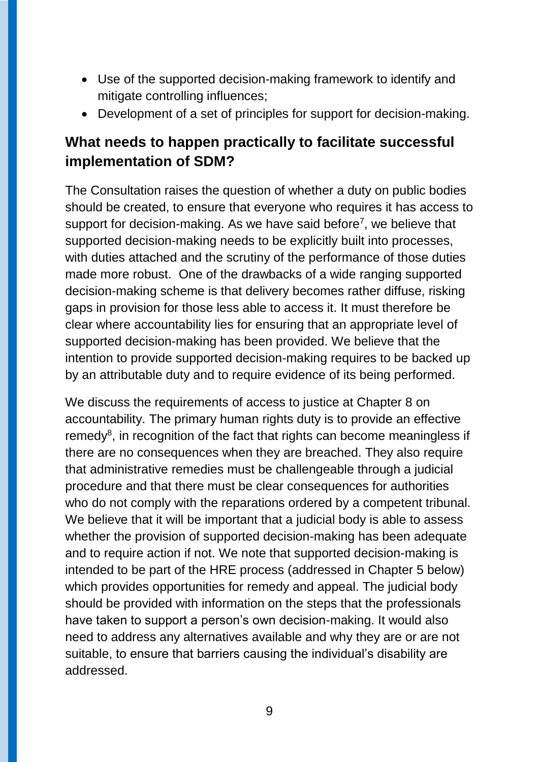- Use of the supported decision-making framework to identify and mitigate controlling influences;
- Development of a set of principles for support for decision-making.

#### **What needs to happen practically to facilitate successful implementation of SDM?**

The Consultation raises the question of whether a duty on public bodies should be created, to ensure that everyone who requires it has access to support for decision-making. As we have said before<sup>7</sup>, we believe that supported decision-making needs to be explicitly built into processes, with duties attached and the scrutiny of the performance of those duties made more robust. One of the drawbacks of a wide ranging supported decision-making scheme is that delivery becomes rather diffuse, risking gaps in provision for those less able to access it. It must therefore be clear where accountability lies for ensuring that an appropriate level of supported decision-making has been provided. We believe that the intention to provide supported decision-making requires to be backed up by an attributable duty and to require evidence of its being performed.

We discuss the requirements of access to justice at Chapter 8 on accountability. The primary human rights duty is to provide an effective  $remedy<sup>8</sup>$ , in recognition of the fact that rights can become meaningless if there are no consequences when they are breached. They also require that administrative remedies must be challengeable through a judicial procedure and that there must be clear consequences for authorities who do not comply with the reparations ordered by a competent tribunal. We believe that it will be important that a judicial body is able to assess whether the provision of supported decision-making has been adequate and to require action if not. We note that supported decision-making is intended to be part of the HRE process (addressed in Chapter 5 below) which provides opportunities for remedy and appeal. The judicial body should be provided with information on the steps that the professionals have taken to support a person's own decision-making. It would also need to address any alternatives available and why they are or are not suitable, to ensure that barriers causing the individual's disability are addressed.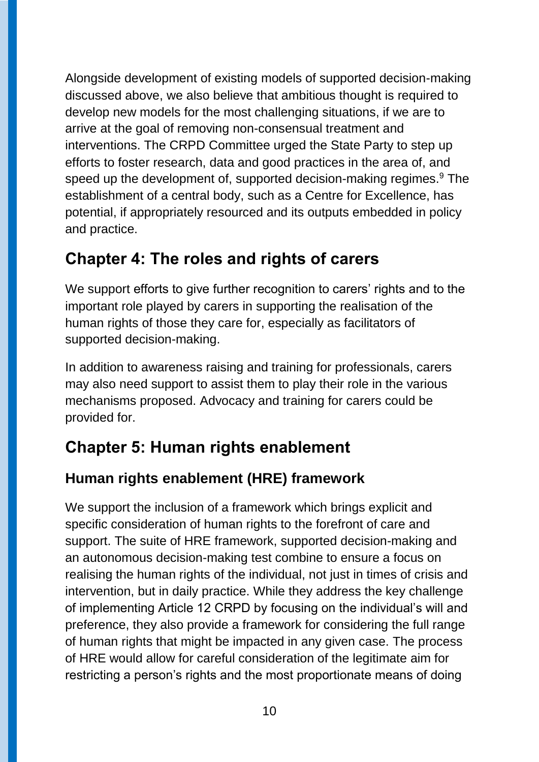Alongside development of existing models of supported decision-making discussed above, we also believe that ambitious thought is required to develop new models for the most challenging situations, if we are to arrive at the goal of removing non-consensual treatment and interventions. The CRPD Committee urged the State Party to step up efforts to foster research, data and good practices in the area of, and speed up the development of, supported decision-making regimes.<sup>9</sup> The establishment of a central body, such as a Centre for Excellence, has potential, if appropriately resourced and its outputs embedded in policy and practice.

### **Chapter 4: The roles and rights of carers**

We support efforts to give further recognition to carers' rights and to the important role played by carers in supporting the realisation of the human rights of those they care for, especially as facilitators of supported decision-making.

In addition to awareness raising and training for professionals, carers may also need support to assist them to play their role in the various mechanisms proposed. Advocacy and training for carers could be provided for.

## **Chapter 5: Human rights enablement**

### **Human rights enablement (HRE) framework**

We support the inclusion of a framework which brings explicit and specific consideration of human rights to the forefront of care and support. The suite of HRE framework, supported decision-making and an autonomous decision-making test combine to ensure a focus on realising the human rights of the individual, not just in times of crisis and intervention, but in daily practice. While they address the key challenge of implementing Article 12 CRPD by focusing on the individual's will and preference, they also provide a framework for considering the full range of human rights that might be impacted in any given case. The process of HRE would allow for careful consideration of the legitimate aim for restricting a person's rights and the most proportionate means of doing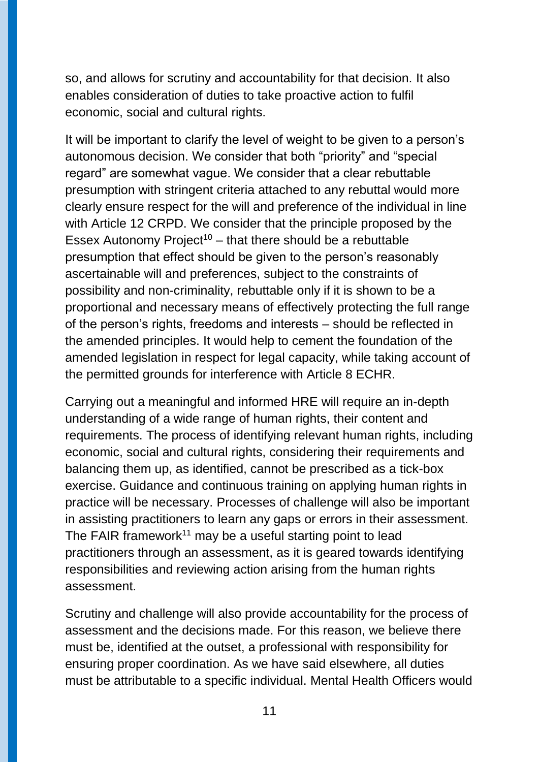so, and allows for scrutiny and accountability for that decision. It also enables consideration of duties to take proactive action to fulfil economic, social and cultural rights.

It will be important to clarify the level of weight to be given to a person's autonomous decision. We consider that both "priority" and "special regard" are somewhat vague. We consider that a clear rebuttable presumption with stringent criteria attached to any rebuttal would more clearly ensure respect for the will and preference of the individual in line with Article 12 CRPD. We consider that the principle proposed by the Essex Autonomy Project<sup>10</sup> – that there should be a rebuttable presumption that effect should be given to the person's reasonably ascertainable will and preferences, subject to the constraints of possibility and non-criminality, rebuttable only if it is shown to be a proportional and necessary means of effectively protecting the full range of the person's rights, freedoms and interests – should be reflected in the amended principles. It would help to cement the foundation of the amended legislation in respect for legal capacity, while taking account of the permitted grounds for interference with Article 8 ECHR.

Carrying out a meaningful and informed HRE will require an in-depth understanding of a wide range of human rights, their content and requirements. The process of identifying relevant human rights, including economic, social and cultural rights, considering their requirements and balancing them up, as identified, cannot be prescribed as a tick-box exercise. Guidance and continuous training on applying human rights in practice will be necessary. Processes of challenge will also be important in assisting practitioners to learn any gaps or errors in their assessment. The FAIR framework<sup>11</sup> may be a useful starting point to lead practitioners through an assessment, as it is geared towards identifying responsibilities and reviewing action arising from the human rights assessment.

Scrutiny and challenge will also provide accountability for the process of assessment and the decisions made. For this reason, we believe there must be, identified at the outset, a professional with responsibility for ensuring proper coordination. As we have said elsewhere, all duties must be attributable to a specific individual. Mental Health Officers would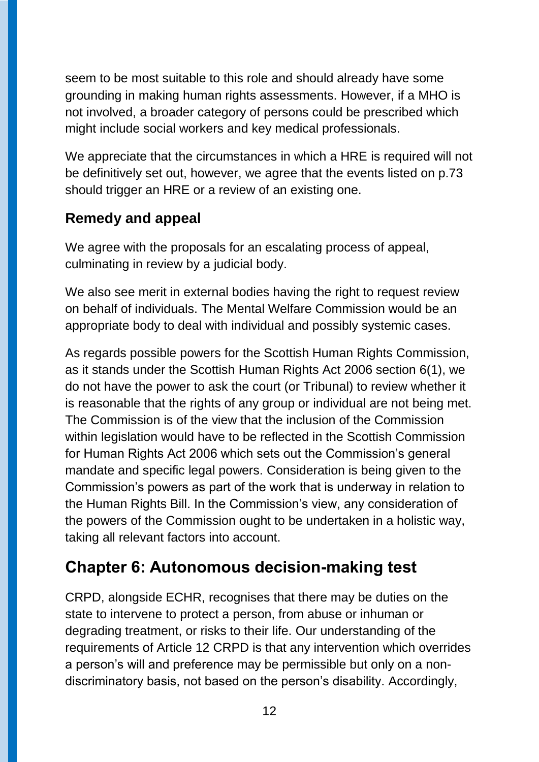seem to be most suitable to this role and should already have some grounding in making human rights assessments. However, if a MHO is not involved, a broader category of persons could be prescribed which might include social workers and key medical professionals.

We appreciate that the circumstances in which a HRE is required will not be definitively set out, however, we agree that the events listed on p.73 should trigger an HRE or a review of an existing one.

### **Remedy and appeal**

We agree with the proposals for an escalating process of appeal, culminating in review by a judicial body.

We also see merit in external bodies having the right to request review on behalf of individuals. The Mental Welfare Commission would be an appropriate body to deal with individual and possibly systemic cases.

As regards possible powers for the Scottish Human Rights Commission, as it stands under the Scottish Human Rights Act 2006 section 6(1), we do not have the power to ask the court (or Tribunal) to review whether it is reasonable that the rights of any group or individual are not being met. The Commission is of the view that the inclusion of the Commission within legislation would have to be reflected in the Scottish Commission for Human Rights Act 2006 which sets out the Commission's general mandate and specific legal powers. Consideration is being given to the Commission's powers as part of the work that is underway in relation to the Human Rights Bill. In the Commission's view, any consideration of the powers of the Commission ought to be undertaken in a holistic way, taking all relevant factors into account.

## **Chapter 6: Autonomous decision-making test**

CRPD, alongside ECHR, recognises that there may be duties on the state to intervene to protect a person, from abuse or inhuman or degrading treatment, or risks to their life. Our understanding of the requirements of Article 12 CRPD is that any intervention which overrides a person's will and preference may be permissible but only on a nondiscriminatory basis, not based on the person's disability. Accordingly,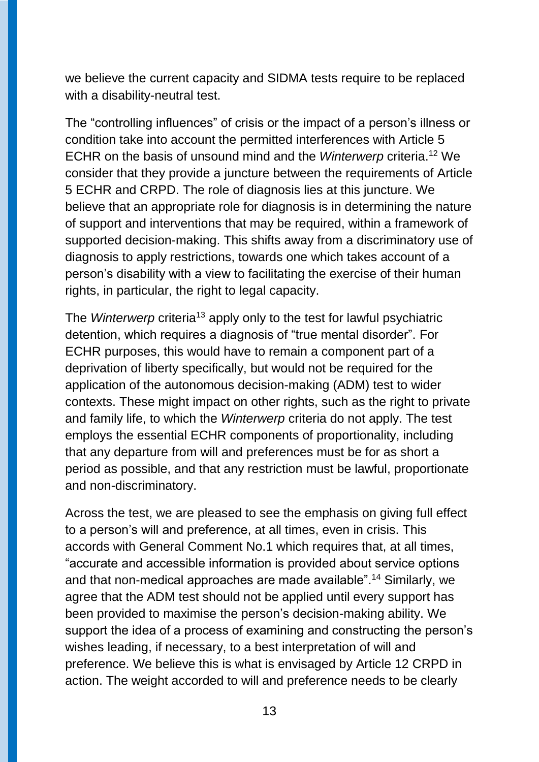we believe the current capacity and SIDMA tests require to be replaced with a disability-neutral test.

The "controlling influences" of crisis or the impact of a person's illness or condition take into account the permitted interferences with Article 5 ECHR on the basis of unsound mind and the *Winterwerp* criteria. <sup>12</sup> We consider that they provide a juncture between the requirements of Article 5 ECHR and CRPD. The role of diagnosis lies at this juncture. We believe that an appropriate role for diagnosis is in determining the nature of support and interventions that may be required, within a framework of supported decision-making. This shifts away from a discriminatory use of diagnosis to apply restrictions, towards one which takes account of a person's disability with a view to facilitating the exercise of their human rights, in particular, the right to legal capacity.

The *Winterwerp* criteria<sup>13</sup> apply only to the test for lawful psychiatric detention, which requires a diagnosis of "true mental disorder". For ECHR purposes, this would have to remain a component part of a deprivation of liberty specifically, but would not be required for the application of the autonomous decision-making (ADM) test to wider contexts. These might impact on other rights, such as the right to private and family life, to which the *Winterwerp* criteria do not apply. The test employs the essential ECHR components of proportionality, including that any departure from will and preferences must be for as short a period as possible, and that any restriction must be lawful, proportionate and non-discriminatory.

Across the test, we are pleased to see the emphasis on giving full effect to a person's will and preference, at all times, even in crisis. This accords with General Comment No.1 which requires that, at all times, "accurate and accessible information is provided about service options and that non-medical approaches are made available". <sup>14</sup> Similarly, we agree that the ADM test should not be applied until every support has been provided to maximise the person's decision-making ability. We support the idea of a process of examining and constructing the person's wishes leading, if necessary, to a best interpretation of will and preference. We believe this is what is envisaged by Article 12 CRPD in action. The weight accorded to will and preference needs to be clearly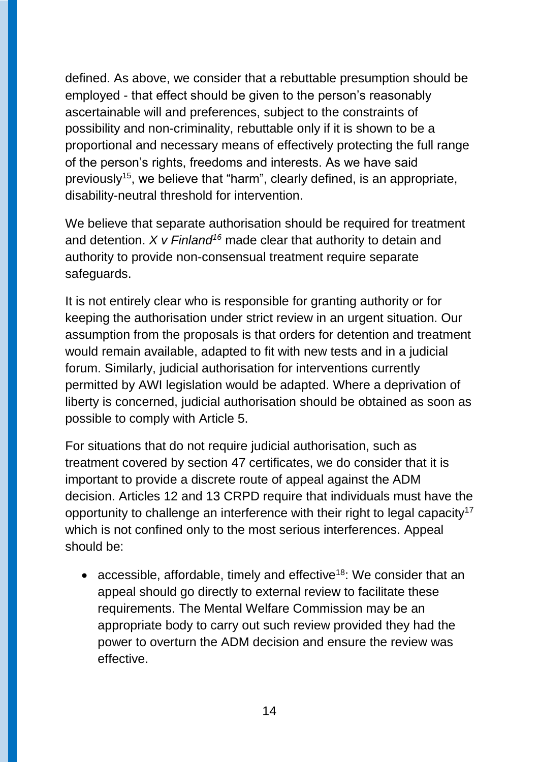defined. As above, we consider that a rebuttable presumption should be employed - that effect should be given to the person's reasonably ascertainable will and preferences, subject to the constraints of possibility and non-criminality, rebuttable only if it is shown to be a proportional and necessary means of effectively protecting the full range of the person's rights, freedoms and interests. As we have said previously<sup>15</sup>, we believe that "harm", clearly defined, is an appropriate, disability-neutral threshold for intervention.

We believe that separate authorisation should be required for treatment and detention. *X v Finland<sup>16</sup>* made clear that authority to detain and authority to provide non-consensual treatment require separate safeguards.

It is not entirely clear who is responsible for granting authority or for keeping the authorisation under strict review in an urgent situation. Our assumption from the proposals is that orders for detention and treatment would remain available, adapted to fit with new tests and in a judicial forum. Similarly, judicial authorisation for interventions currently permitted by AWI legislation would be adapted. Where a deprivation of liberty is concerned, judicial authorisation should be obtained as soon as possible to comply with Article 5.

For situations that do not require judicial authorisation, such as treatment covered by section 47 certificates, we do consider that it is important to provide a discrete route of appeal against the ADM decision. Articles 12 and 13 CRPD require that individuals must have the opportunity to challenge an interference with their right to legal capacity<sup>17</sup> which is not confined only to the most serious interferences. Appeal should be:

• accessible, affordable, timely and effective<sup>18</sup>: We consider that an appeal should go directly to external review to facilitate these requirements. The Mental Welfare Commission may be an appropriate body to carry out such review provided they had the power to overturn the ADM decision and ensure the review was effective.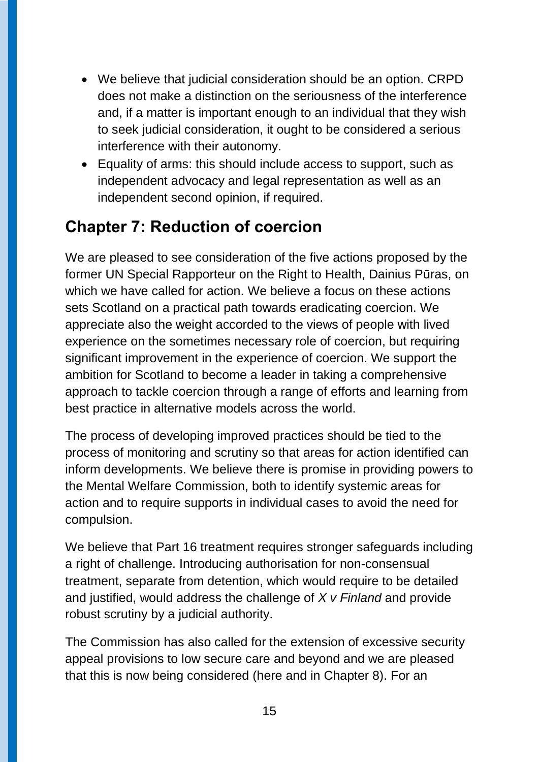- We believe that judicial consideration should be an option. CRPD does not make a distinction on the seriousness of the interference and, if a matter is important enough to an individual that they wish to seek judicial consideration, it ought to be considered a serious interference with their autonomy.
- Equality of arms: this should include access to support, such as independent advocacy and legal representation as well as an independent second opinion, if required.

## **Chapter 7: Reduction of coercion**

We are pleased to see consideration of the five actions proposed by the former UN Special Rapporteur on the Right to Health, Dainius Pūras, on which we have called for action. We believe a focus on these actions sets Scotland on a practical path towards eradicating coercion. We appreciate also the weight accorded to the views of people with lived experience on the sometimes necessary role of coercion, but requiring significant improvement in the experience of coercion. We support the ambition for Scotland to become a leader in taking a comprehensive approach to tackle coercion through a range of efforts and learning from best practice in alternative models across the world.

The process of developing improved practices should be tied to the process of monitoring and scrutiny so that areas for action identified can inform developments. We believe there is promise in providing powers to the Mental Welfare Commission, both to identify systemic areas for action and to require supports in individual cases to avoid the need for compulsion.

We believe that Part 16 treatment requires stronger safeguards including a right of challenge. Introducing authorisation for non-consensual treatment, separate from detention, which would require to be detailed and justified, would address the challenge of *X v Finland* and provide robust scrutiny by a judicial authority.

The Commission has also called for the extension of excessive security appeal provisions to low secure care and beyond and we are pleased that this is now being considered (here and in Chapter 8). For an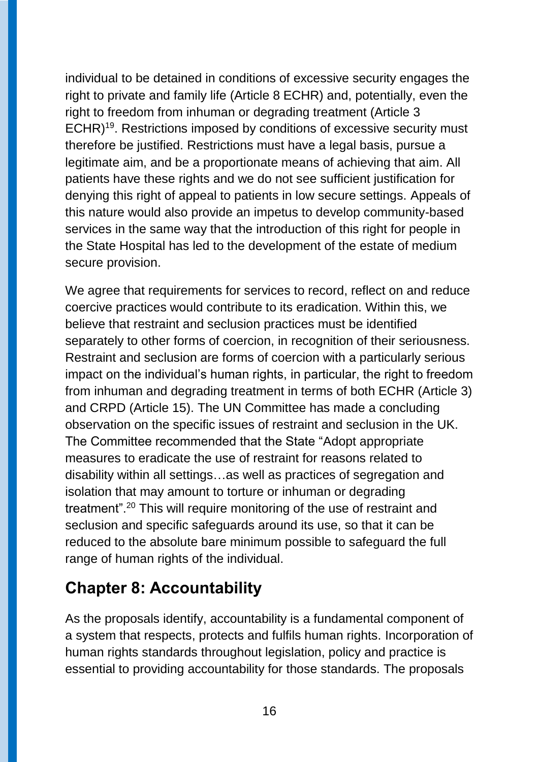individual to be detained in conditions of excessive security engages the right to private and family life (Article 8 ECHR) and, potentially, even the right to freedom from inhuman or degrading treatment (Article 3 ECHR)<sup>19</sup>. Restrictions imposed by conditions of excessive security must therefore be justified. Restrictions must have a legal basis, pursue a legitimate aim, and be a proportionate means of achieving that aim. All patients have these rights and we do not see sufficient justification for denying this right of appeal to patients in low secure settings. Appeals of this nature would also provide an impetus to develop community-based services in the same way that the introduction of this right for people in the State Hospital has led to the development of the estate of medium secure provision.

We agree that requirements for services to record, reflect on and reduce coercive practices would contribute to its eradication. Within this, we believe that restraint and seclusion practices must be identified separately to other forms of coercion, in recognition of their seriousness. Restraint and seclusion are forms of coercion with a particularly serious impact on the individual's human rights, in particular, the right to freedom from inhuman and degrading treatment in terms of both ECHR (Article 3) and CRPD (Article 15). The UN Committee has made a concluding observation on the specific issues of restraint and seclusion in the UK. The Committee recommended that the State "Adopt appropriate measures to eradicate the use of restraint for reasons related to disability within all settings…as well as practices of segregation and isolation that may amount to torture or inhuman or degrading treatment".<sup>20</sup> This will require monitoring of the use of restraint and seclusion and specific safeguards around its use, so that it can be reduced to the absolute bare minimum possible to safeguard the full range of human rights of the individual.

### **Chapter 8: Accountability**

As the proposals identify, accountability is a fundamental component of a system that respects, protects and fulfils human rights. Incorporation of human rights standards throughout legislation, policy and practice is essential to providing accountability for those standards. The proposals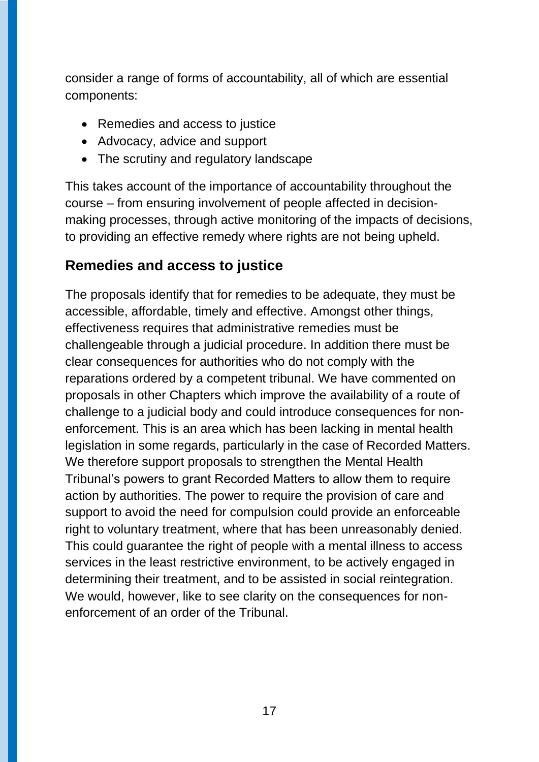consider a range of forms of accountability, all of which are essential components:

- Remedies and access to justice
- Advocacy, advice and support
- The scrutiny and regulatory landscape

This takes account of the importance of accountability throughout the course – from ensuring involvement of people affected in decisionmaking processes, through active monitoring of the impacts of decisions, to providing an effective remedy where rights are not being upheld.

#### **Remedies and access to justice**

The proposals identify that for remedies to be adequate, they must be accessible, affordable, timely and effective. Amongst other things, effectiveness requires that administrative remedies must be challengeable through a judicial procedure. In addition there must be clear consequences for authorities who do not comply with the reparations ordered by a competent tribunal. We have commented on proposals in other Chapters which improve the availability of a route of challenge to a judicial body and could introduce consequences for nonenforcement. This is an area which has been lacking in mental health legislation in some regards, particularly in the case of Recorded Matters. We therefore support proposals to strengthen the Mental Health Tribunal's powers to grant Recorded Matters to allow them to require action by authorities. The power to require the provision of care and support to avoid the need for compulsion could provide an enforceable right to voluntary treatment, where that has been unreasonably denied. This could guarantee the right of people with a mental illness to access services in the least restrictive environment, to be actively engaged in determining their treatment, and to be assisted in social reintegration. We would, however, like to see clarity on the consequences for nonenforcement of an order of the Tribunal.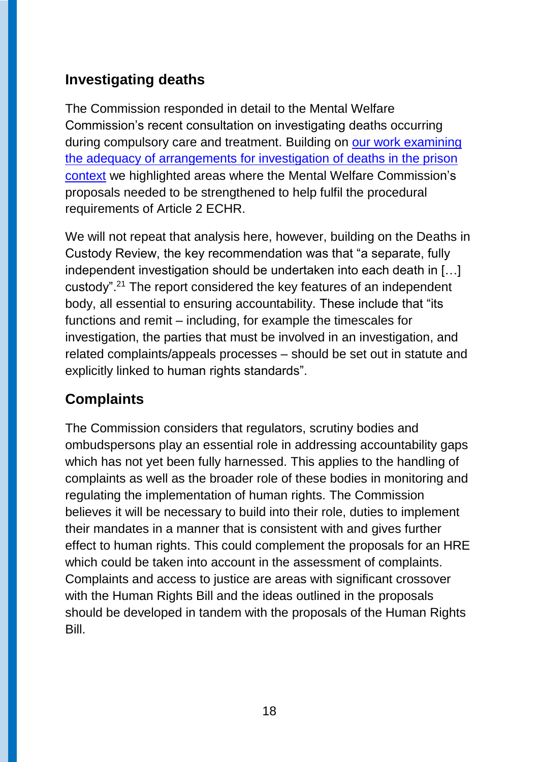### **Investigating deaths**

The Commission responded in detail to the Mental Welfare Commission's recent consultation on investigating deaths occurring during compulsory care and treatment. Building on our work examining [the adequacy of arrangements for investigation of deaths in the prison](https://www.prisonsinspectoratescotland.gov.uk/publications/independent-review-response-deaths-prison-custody)  [context](https://www.prisonsinspectoratescotland.gov.uk/publications/independent-review-response-deaths-prison-custody) we highlighted areas where the Mental Welfare Commission's proposals needed to be strengthened to help fulfil the procedural requirements of Article 2 ECHR.

We will not repeat that analysis here, however, building on the Deaths in Custody Review, the key recommendation was that "a separate, fully independent investigation should be undertaken into each death in […] custody".<sup>21</sup> The report considered the key features of an independent body, all essential to ensuring accountability. These include that "its functions and remit – including, for example the timescales for investigation, the parties that must be involved in an investigation, and related complaints/appeals processes – should be set out in statute and explicitly linked to human rights standards".

### **Complaints**

The Commission considers that regulators, scrutiny bodies and ombudspersons play an essential role in addressing accountability gaps which has not yet been fully harnessed. This applies to the handling of complaints as well as the broader role of these bodies in monitoring and regulating the implementation of human rights. The Commission believes it will be necessary to build into their role, duties to implement their mandates in a manner that is consistent with and gives further effect to human rights. This could complement the proposals for an HRE which could be taken into account in the assessment of complaints. Complaints and access to justice are areas with significant crossover with the Human Rights Bill and the ideas outlined in the proposals should be developed in tandem with the proposals of the Human Rights Bill.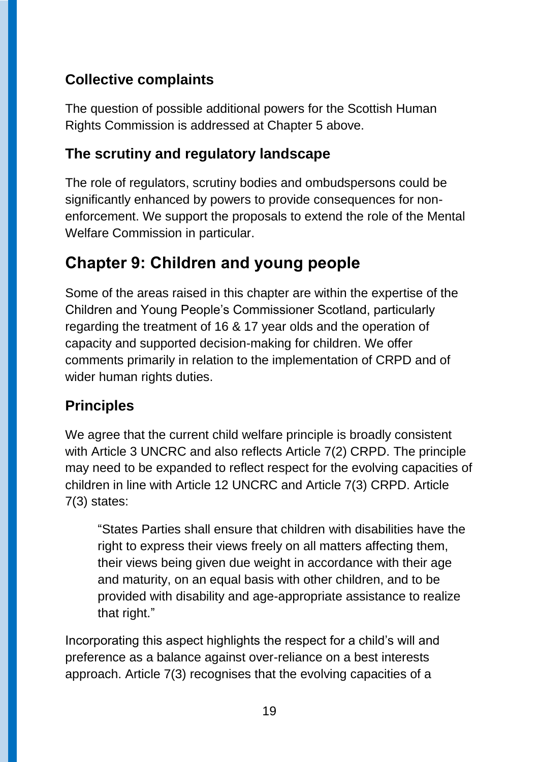### **Collective complaints**

The question of possible additional powers for the Scottish Human Rights Commission is addressed at Chapter 5 above.

### **The scrutiny and regulatory landscape**

The role of regulators, scrutiny bodies and ombudspersons could be significantly enhanced by powers to provide consequences for nonenforcement. We support the proposals to extend the role of the Mental Welfare Commission in particular.

## **Chapter 9: Children and young people**

Some of the areas raised in this chapter are within the expertise of the Children and Young People's Commissioner Scotland, particularly regarding the treatment of 16 & 17 year olds and the operation of capacity and supported decision-making for children. We offer comments primarily in relation to the implementation of CRPD and of wider human rights duties.

## **Principles**

We agree that the current child welfare principle is broadly consistent with Article 3 UNCRC and also reflects Article 7(2) CRPD. The principle may need to be expanded to reflect respect for the evolving capacities of children in line with Article 12 UNCRC and Article 7(3) CRPD. Article 7(3) states:

"States Parties shall ensure that children with disabilities have the right to express their views freely on all matters affecting them, their views being given due weight in accordance with their age and maturity, on an equal basis with other children, and to be provided with disability and age-appropriate assistance to realize that right."

Incorporating this aspect highlights the respect for a child's will and preference as a balance against over-reliance on a best interests approach. Article 7(3) recognises that the evolving capacities of a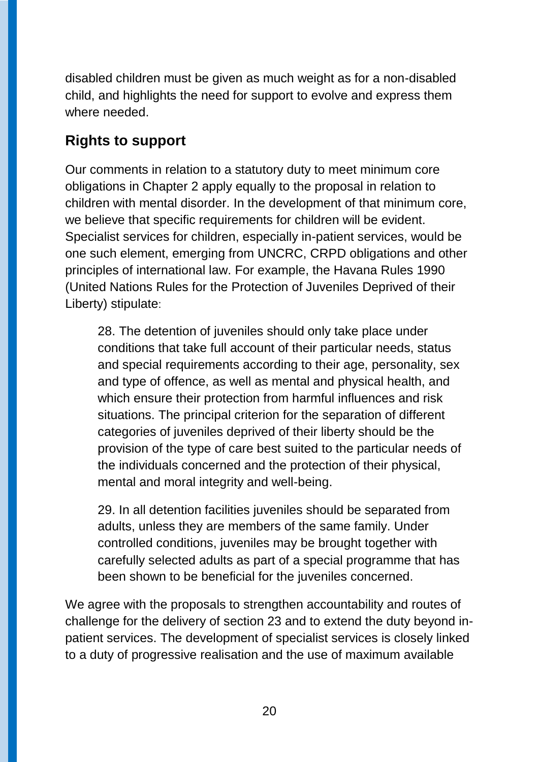disabled children must be given as much weight as for a non-disabled child, and highlights the need for support to evolve and express them where needed.

#### **Rights to support**

Our comments in relation to a statutory duty to meet minimum core obligations in Chapter 2 apply equally to the proposal in relation to children with mental disorder. In the development of that minimum core, we believe that specific requirements for children will be evident. Specialist services for children, especially in-patient services, would be one such element, emerging from UNCRC, CRPD obligations and other principles of international law. For example, the Havana Rules 1990 (United Nations Rules for the Protection of Juveniles Deprived of their Liberty) stipulate:

28. The detention of juveniles should only take place under conditions that take full account of their particular needs, status and special requirements according to their age, personality, sex and type of offence, as well as mental and physical health, and which ensure their protection from harmful influences and risk situations. The principal criterion for the separation of different categories of juveniles deprived of their liberty should be the provision of the type of care best suited to the particular needs of the individuals concerned and the protection of their physical, mental and moral integrity and well-being.

29. In all detention facilities juveniles should be separated from adults, unless they are members of the same family. Under controlled conditions, juveniles may be brought together with carefully selected adults as part of a special programme that has been shown to be beneficial for the juveniles concerned.

We agree with the proposals to strengthen accountability and routes of challenge for the delivery of section 23 and to extend the duty beyond inpatient services. The development of specialist services is closely linked to a duty of progressive realisation and the use of maximum available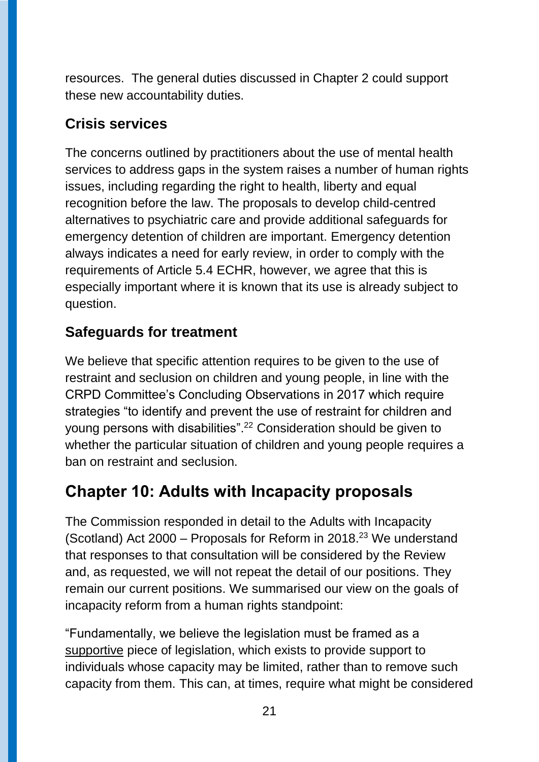resources. The general duties discussed in Chapter 2 could support these new accountability duties.

#### **Crisis services**

The concerns outlined by practitioners about the use of mental health services to address gaps in the system raises a number of human rights issues, including regarding the right to health, liberty and equal recognition before the law. The proposals to develop child-centred alternatives to psychiatric care and provide additional safeguards for emergency detention of children are important. Emergency detention always indicates a need for early review, in order to comply with the requirements of Article 5.4 ECHR, however, we agree that this is especially important where it is known that its use is already subject to question.

### **Safeguards for treatment**

We believe that specific attention requires to be given to the use of restraint and seclusion on children and young people, in line with the CRPD Committee's Concluding Observations in 2017 which require strategies "to identify and prevent the use of restraint for children and young persons with disabilities". <sup>22</sup> Consideration should be given to whether the particular situation of children and young people requires a ban on restraint and seclusion.

## **Chapter 10: Adults with Incapacity proposals**

The Commission responded in detail to the Adults with Incapacity (Scotland) Act 2000 – Proposals for Reform in 2018. <sup>23</sup> We understand that responses to that consultation will be considered by the Review and, as requested, we will not repeat the detail of our positions. They remain our current positions. We summarised our view on the goals of incapacity reform from a human rights standpoint:

"Fundamentally, we believe the legislation must be framed as a supportive piece of legislation, which exists to provide support to individuals whose capacity may be limited, rather than to remove such capacity from them. This can, at times, require what might be considered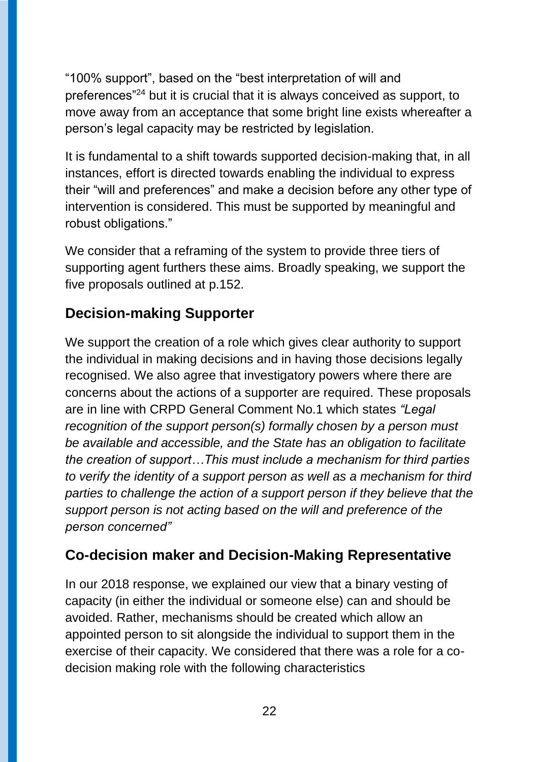"100% support", based on the "best interpretation of will and preferences"<sup>24</sup> but it is crucial that it is always conceived as support, to move away from an acceptance that some bright line exists whereafter a person's legal capacity may be restricted by legislation.

It is fundamental to a shift towards supported decision-making that, in all instances, effort is directed towards enabling the individual to express their "will and preferences" and make a decision before any other type of intervention is considered. This must be supported by meaningful and robust obligations."

We consider that a reframing of the system to provide three tiers of supporting agent furthers these aims. Broadly speaking, we support the five proposals outlined at p.152.

### **Decision-making Supporter**

We support the creation of a role which gives clear authority to support the individual in making decisions and in having those decisions legally recognised. We also agree that investigatory powers where there are concerns about the actions of a supporter are required. These proposals are in line with CRPD General Comment No.1 which states *"Legal recognition of the support person(s) formally chosen by a person must be available and accessible, and the State has an obligation to facilitate the creation of support…This must include a mechanism for third parties to verify the identity of a support person as well as a mechanism for third parties to challenge the action of a support person if they believe that the support person is not acting based on the will and preference of the person concerned"*

#### **Co-decision maker and Decision-Making Representative**

In our 2018 response, we explained our view that a binary vesting of capacity (in either the individual or someone else) can and should be avoided. Rather, mechanisms should be created which allow an appointed person to sit alongside the individual to support them in the exercise of their capacity. We considered that there was a role for a codecision making role with the following characteristics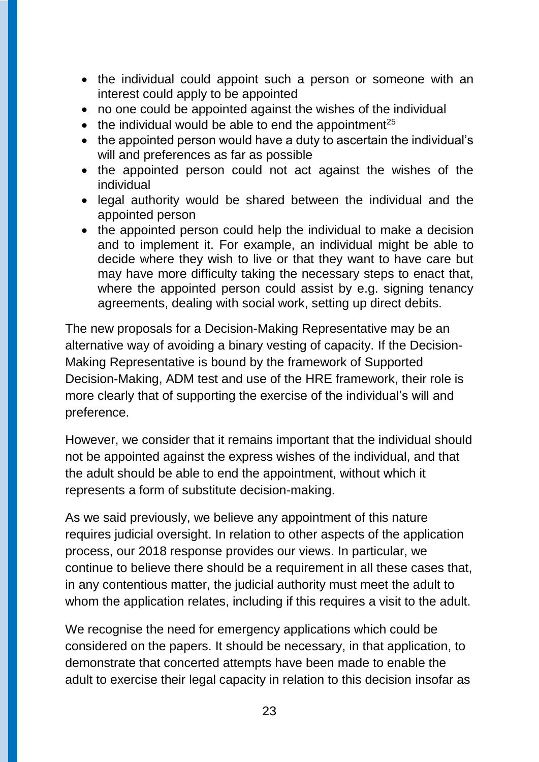- the individual could appoint such a person or someone with an interest could apply to be appointed
- no one could be appointed against the wishes of the individual
- $\bullet$  the individual would be able to end the appointment<sup>25</sup>
- the appointed person would have a duty to ascertain the individual's will and preferences as far as possible
- the appointed person could not act against the wishes of the individual
- legal authority would be shared between the individual and the appointed person
- the appointed person could help the individual to make a decision and to implement it. For example, an individual might be able to decide where they wish to live or that they want to have care but may have more difficulty taking the necessary steps to enact that, where the appointed person could assist by e.g. signing tenancy agreements, dealing with social work, setting up direct debits.

The new proposals for a Decision-Making Representative may be an alternative way of avoiding a binary vesting of capacity. If the Decision-Making Representative is bound by the framework of Supported Decision-Making, ADM test and use of the HRE framework, their role is more clearly that of supporting the exercise of the individual's will and preference.

However, we consider that it remains important that the individual should not be appointed against the express wishes of the individual, and that the adult should be able to end the appointment, without which it represents a form of substitute decision-making.

As we said previously, we believe any appointment of this nature requires judicial oversight. In relation to other aspects of the application process, our 2018 response provides our views. In particular, we continue to believe there should be a requirement in all these cases that, in any contentious matter, the judicial authority must meet the adult to whom the application relates, including if this requires a visit to the adult.

We recognise the need for emergency applications which could be considered on the papers. It should be necessary, in that application, to demonstrate that concerted attempts have been made to enable the adult to exercise their legal capacity in relation to this decision insofar as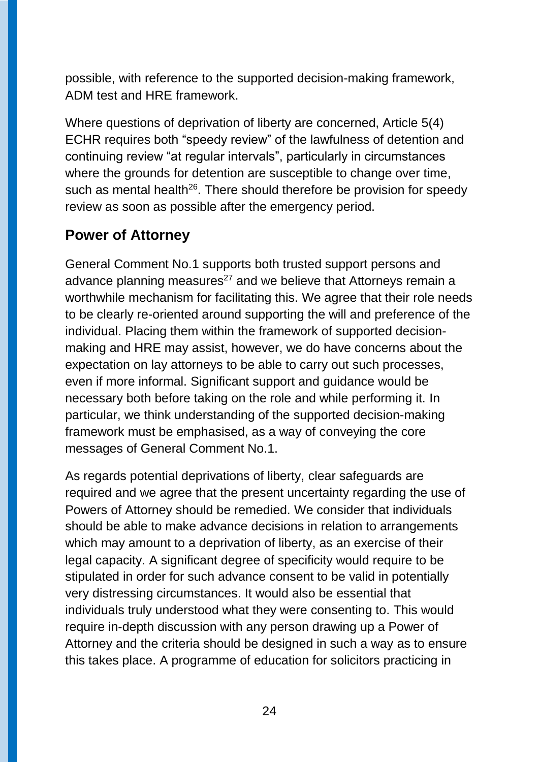possible, with reference to the supported decision-making framework, ADM test and HRE framework.

Where questions of deprivation of liberty are concerned, Article 5(4) ECHR requires both "speedy review" of the lawfulness of detention and continuing review "at regular intervals", particularly in circumstances where the grounds for detention are susceptible to change over time, such as mental health<sup>26</sup>. There should therefore be provision for speedy review as soon as possible after the emergency period.

#### **Power of Attorney**

General Comment No.1 supports both trusted support persons and advance planning measures<sup>27</sup> and we believe that Attorneys remain a worthwhile mechanism for facilitating this. We agree that their role needs to be clearly re-oriented around supporting the will and preference of the individual. Placing them within the framework of supported decisionmaking and HRE may assist, however, we do have concerns about the expectation on lay attorneys to be able to carry out such processes, even if more informal. Significant support and guidance would be necessary both before taking on the role and while performing it. In particular, we think understanding of the supported decision-making framework must be emphasised, as a way of conveying the core messages of General Comment No.1.

As regards potential deprivations of liberty, clear safeguards are required and we agree that the present uncertainty regarding the use of Powers of Attorney should be remedied. We consider that individuals should be able to make advance decisions in relation to arrangements which may amount to a deprivation of liberty, as an exercise of their legal capacity. A significant degree of specificity would require to be stipulated in order for such advance consent to be valid in potentially very distressing circumstances. It would also be essential that individuals truly understood what they were consenting to. This would require in-depth discussion with any person drawing up a Power of Attorney and the criteria should be designed in such a way as to ensure this takes place. A programme of education for solicitors practicing in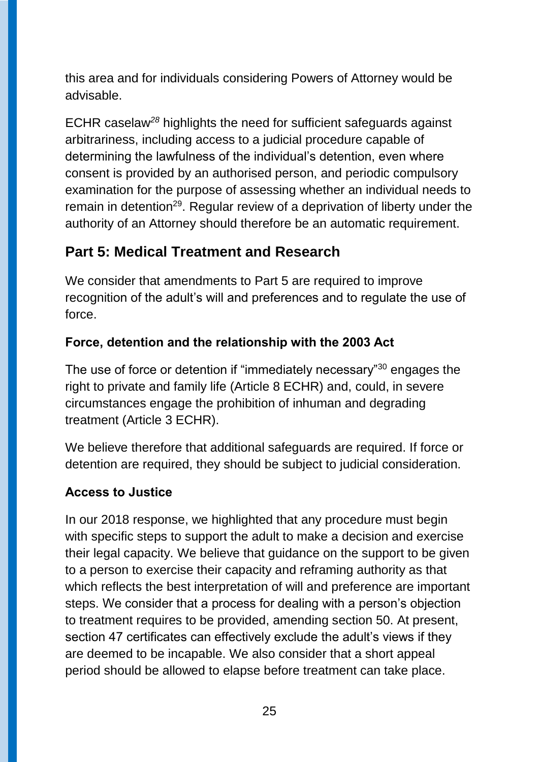this area and for individuals considering Powers of Attorney would be advisable.

ECHR caselaw*<sup>28</sup>* highlights the need for sufficient safeguards against arbitrariness, including access to a judicial procedure capable of determining the lawfulness of the individual's detention, even where consent is provided by an authorised person, and periodic compulsory examination for the purpose of assessing whether an individual needs to remain in detention<sup>29</sup>. Regular review of a deprivation of liberty under the authority of an Attorney should therefore be an automatic requirement.

### **Part 5: Medical Treatment and Research**

We consider that amendments to Part 5 are required to improve recognition of the adult's will and preferences and to regulate the use of force.

#### **Force, detention and the relationship with the 2003 Act**

The use of force or detention if "immediately necessary"<sup>30</sup> engages the right to private and family life (Article 8 ECHR) and, could, in severe circumstances engage the prohibition of inhuman and degrading treatment (Article 3 ECHR).

We believe therefore that additional safeguards are required. If force or detention are required, they should be subject to judicial consideration.

#### **Access to Justice**

In our 2018 response, we highlighted that any procedure must begin with specific steps to support the adult to make a decision and exercise their legal capacity. We believe that guidance on the support to be given to a person to exercise their capacity and reframing authority as that which reflects the best interpretation of will and preference are important steps. We consider that a process for dealing with a person's objection to treatment requires to be provided, amending section 50. At present, section 47 certificates can effectively exclude the adult's views if they are deemed to be incapable. We also consider that a short appeal period should be allowed to elapse before treatment can take place.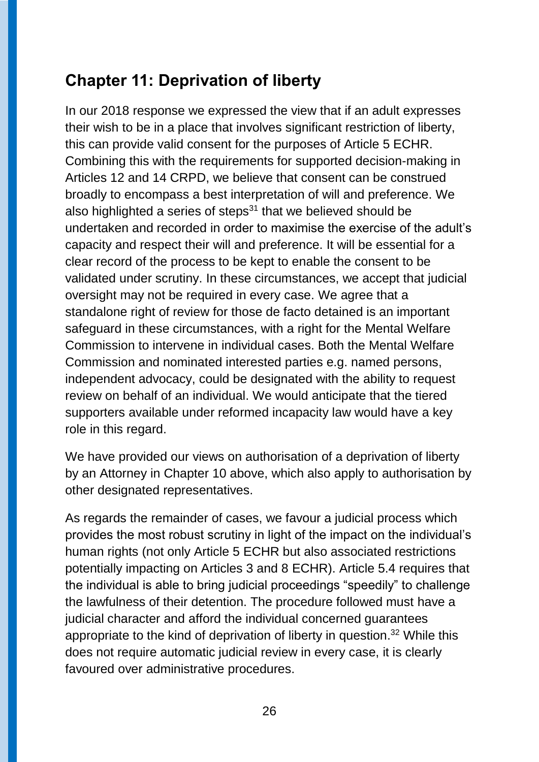## **Chapter 11: Deprivation of liberty**

In our 2018 response we expressed the view that if an adult expresses their wish to be in a place that involves significant restriction of liberty, this can provide valid consent for the purposes of Article 5 ECHR. Combining this with the requirements for supported decision-making in Articles 12 and 14 CRPD, we believe that consent can be construed broadly to encompass a best interpretation of will and preference. We also highlighted a series of steps $31$  that we believed should be undertaken and recorded in order to maximise the exercise of the adult's capacity and respect their will and preference. It will be essential for a clear record of the process to be kept to enable the consent to be validated under scrutiny. In these circumstances, we accept that judicial oversight may not be required in every case. We agree that a standalone right of review for those de facto detained is an important safeguard in these circumstances, with a right for the Mental Welfare Commission to intervene in individual cases. Both the Mental Welfare Commission and nominated interested parties e.g. named persons, independent advocacy, could be designated with the ability to request review on behalf of an individual. We would anticipate that the tiered supporters available under reformed incapacity law would have a key role in this regard.

We have provided our views on authorisation of a deprivation of liberty by an Attorney in Chapter 10 above, which also apply to authorisation by other designated representatives.

As regards the remainder of cases, we favour a judicial process which provides the most robust scrutiny in light of the impact on the individual's human rights (not only Article 5 ECHR but also associated restrictions potentially impacting on Articles 3 and 8 ECHR). Article 5.4 requires that the individual is able to bring judicial proceedings "speedily" to challenge the lawfulness of their detention. The procedure followed must have a judicial character and afford the individual concerned guarantees appropriate to the kind of deprivation of liberty in question. <sup>32</sup> While this does not require automatic judicial review in every case, it is clearly favoured over administrative procedures.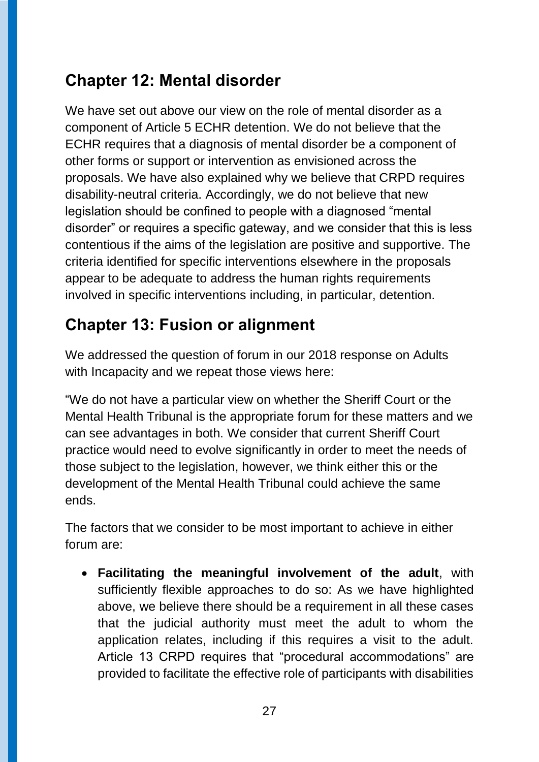## **Chapter 12: Mental disorder**

We have set out above our view on the role of mental disorder as a component of Article 5 ECHR detention. We do not believe that the ECHR requires that a diagnosis of mental disorder be a component of other forms or support or intervention as envisioned across the proposals. We have also explained why we believe that CRPD requires disability-neutral criteria. Accordingly, we do not believe that new legislation should be confined to people with a diagnosed "mental disorder" or requires a specific gateway, and we consider that this is less contentious if the aims of the legislation are positive and supportive. The criteria identified for specific interventions elsewhere in the proposals appear to be adequate to address the human rights requirements involved in specific interventions including, in particular, detention.

## **Chapter 13: Fusion or alignment**

We addressed the question of forum in our 2018 response on Adults with Incapacity and we repeat those views here:

"We do not have a particular view on whether the Sheriff Court or the Mental Health Tribunal is the appropriate forum for these matters and we can see advantages in both. We consider that current Sheriff Court practice would need to evolve significantly in order to meet the needs of those subject to the legislation, however, we think either this or the development of the Mental Health Tribunal could achieve the same ends.

The factors that we consider to be most important to achieve in either forum are:

 **Facilitating the meaningful involvement of the adult**, with sufficiently flexible approaches to do so: As we have highlighted above, we believe there should be a requirement in all these cases that the judicial authority must meet the adult to whom the application relates, including if this requires a visit to the adult. Article 13 CRPD requires that "procedural accommodations" are provided to facilitate the effective role of participants with disabilities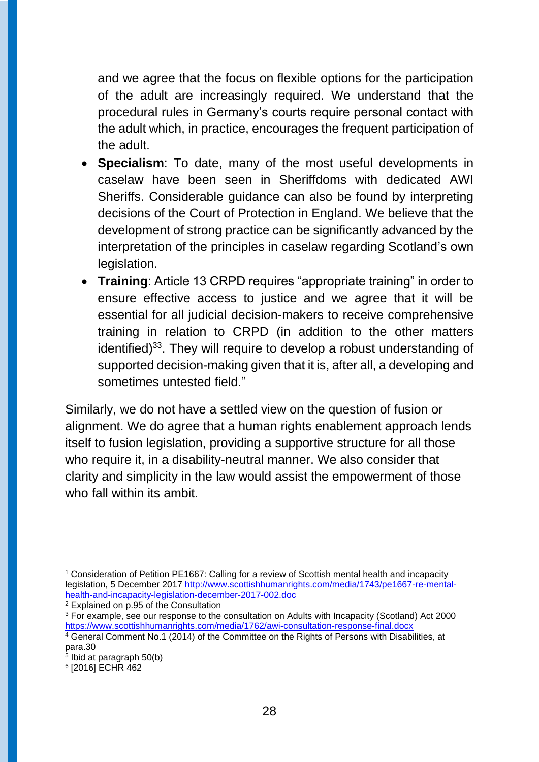and we agree that the focus on flexible options for the participation of the adult are increasingly required. We understand that the procedural rules in Germany's courts require personal contact with the adult which, in practice, encourages the frequent participation of the adult.

- **Specialism**: To date, many of the most useful developments in caselaw have been seen in Sheriffdoms with dedicated AWI Sheriffs. Considerable guidance can also be found by interpreting decisions of the Court of Protection in England. We believe that the development of strong practice can be significantly advanced by the interpretation of the principles in caselaw regarding Scotland's own legislation.
- **Training**: Article 13 CRPD requires "appropriate training" in order to ensure effective access to justice and we agree that it will be essential for all judicial decision-makers to receive comprehensive training in relation to CRPD (in addition to the other matters identified)<sup>33</sup>. They will require to develop a robust understanding of supported decision-making given that it is, after all, a developing and sometimes untested field."

Similarly, we do not have a settled view on the question of fusion or alignment. We do agree that a human rights enablement approach lends itself to fusion legislation, providing a supportive structure for all those who require it, in a disability-neutral manner. We also consider that clarity and simplicity in the law would assist the empowerment of those who fall within its ambit.

 $\overline{a}$ 

<sup>1</sup> Consideration of Petition PE1667: Calling for a review of Scottish mental health and incapacity legislation, 5 December 2017 [http://www.scottishhumanrights.com/media/1743/pe1667-re-mental](http://www.scottishhumanrights.com/media/1743/pe1667-re-mental-health-and-incapacity-legislation-december-2017-002.doc)[health-and-incapacity-legislation-december-2017-002.doc](http://www.scottishhumanrights.com/media/1743/pe1667-re-mental-health-and-incapacity-legislation-december-2017-002.doc)

<sup>2</sup> Explained on p.95 of the Consultation

<sup>&</sup>lt;sup>3</sup> For example, see our response to the consultation on Adults with Incapacity (Scotland) Act 2000 <https://www.scottishhumanrights.com/media/1762/awi-consultation-response-final.docx>

<sup>4</sup> General Comment No.1 (2014) of the Committee on the Rights of Persons with Disabilities, at para.30

<sup>5</sup> Ibid at paragraph 50(b)

<sup>6</sup> [2016] ECHR 462